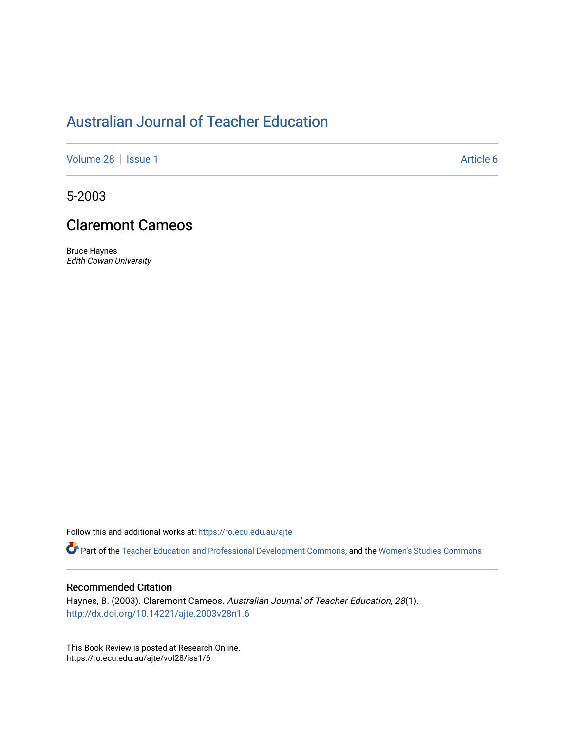## [Australian Journal of Teacher Education](https://ro.ecu.edu.au/ajte)

[Volume 28](https://ro.ecu.edu.au/ajte/vol28) | [Issue 1](https://ro.ecu.edu.au/ajte/vol28/iss1) Article 6

5-2003

## Claremont Cameos

Bruce Haynes Edith Cowan University

Follow this and additional works at: [https://ro.ecu.edu.au/ajte](https://ro.ecu.edu.au/ajte?utm_source=ro.ecu.edu.au%2Fajte%2Fvol28%2Fiss1%2F6&utm_medium=PDF&utm_campaign=PDFCoverPages) 

Part of the [Teacher Education and Professional Development Commons](http://network.bepress.com/hgg/discipline/803?utm_source=ro.ecu.edu.au%2Fajte%2Fvol28%2Fiss1%2F6&utm_medium=PDF&utm_campaign=PDFCoverPages), and the [Women's Studies Commons](http://network.bepress.com/hgg/discipline/561?utm_source=ro.ecu.edu.au%2Fajte%2Fvol28%2Fiss1%2F6&utm_medium=PDF&utm_campaign=PDFCoverPages)

## Recommended Citation

Haynes, B. (2003). Claremont Cameos. Australian Journal of Teacher Education, 28(1). <http://dx.doi.org/10.14221/ajte.2003v28n1.6>

This Book Review is posted at Research Online. https://ro.ecu.edu.au/ajte/vol28/iss1/6